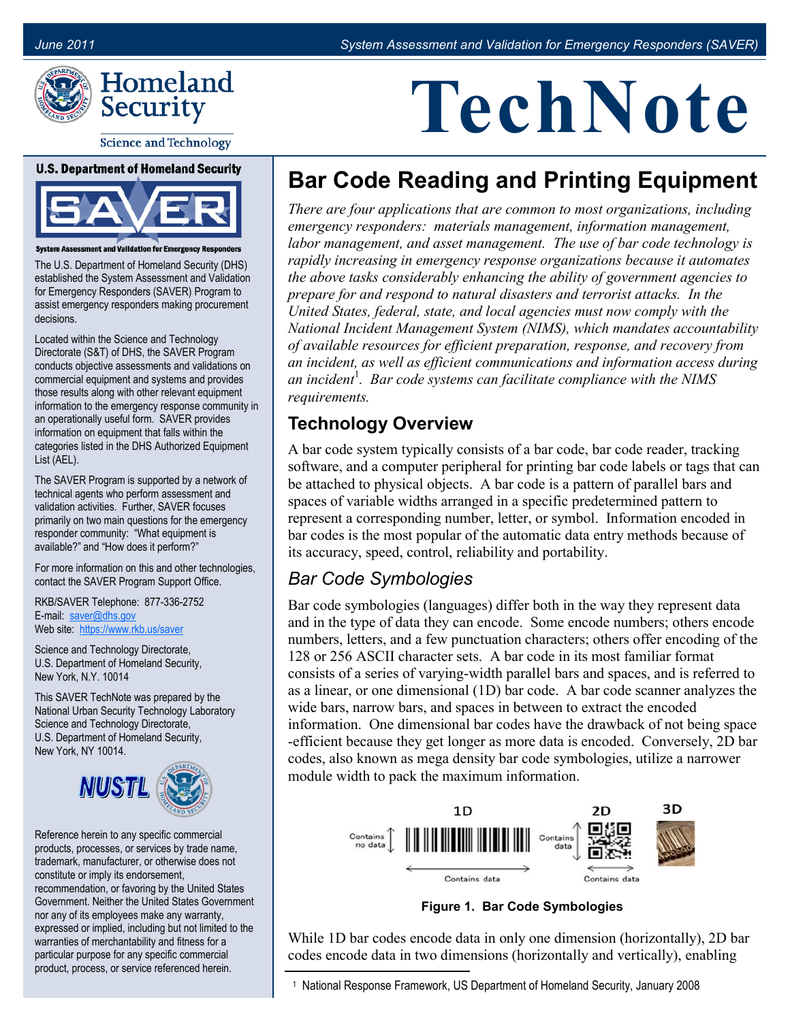

**Science and Technology** 

#### **U.S. Department of Homeland Security**



**System Assessment and Validation for Emergency Responders** 

The U.S. Department of Homeland Security (DHS) established the System Assessment and Validation for Emergency Responders (SAVER) Program to assist emergency responders making procurement decisions.

Located within the Science and Technology Directorate (S&T) of DHS, the SAVER Program conducts objective assessments and validations on commercial equipment and systems and provides those results along with other relevant equipment information to the emergency response community in an operationally useful form. SAVER provides information on equipment that falls within the categories listed in the DHS Authorized Equipment List (AEL).

The SAVER Program is supported by a network of technical agents who perform assessment and validation activities. Further, SAVER focuses primarily on two main questions for the emergency responder community: "What equipment is available?" and "How does it perform?"

For more information on this and other technologies, contact the SAVER Program Support Office.

RKB/SAVER Telephone: 877-336-2752 E-mail: [saver@dhs.gov](mailto:saver@dhs.gov)  Web site: [https://www.rkb.us/saver](https://www.rkb.us/SAVER) 

Science and Technology Directorate, U.S. Department of Homeland Security, New York, N.Y. 10014

This SAVER TechNote was prepared by the National Urban Security Technology Laboratory Science and Technology Directorate, U.S. Department of Homeland Security, New York, NY 10014.



Reference herein to any specific commercial products, processes, or services by trade name, trademark, manufacturer, or otherwise does not constitute or imply its endorsement, recommendation, or favoring by the United States Government. Neither the United States Government nor any of its employees make any warranty, expressed or implied, including but not limited to the warranties of merchantability and fitness for a particular purpose for any specific commercial product, process, or service referenced herein.

# **TechNote**

## **Bar Code Reading and Printing Equipment**

 *rapidly increasing in emergency response organizations because it automates There are four applications that are common to most organizations, including emergency responders: materials management, information management, labor management, and asset management. The use of bar code technology is the above tasks considerably enhancing the ability of government agencies to prepare for and respond to natural disasters and terrorist attacks. In the United States, federal, state, and local agencies must now comply with the National Incident Management System (NIMS), which mandates accountability of available resources for efficient preparation, response, and recovery from an incident, as well as efficient communications and information access during an incident*<sup>1</sup>. Bar code systems can facilitate compliance with the NIMS *requirements.* 

#### **Technology Overview**

A bar code system typically consists of a bar code, bar code reader, tracking software, and a computer peripheral for printing bar code labels or tags that can be attached to physical objects. A bar code is a pattern of parallel bars and spaces of variable widths arranged in a specific predetermined pattern to represent a corresponding number, letter, or symbol. Information encoded in bar codes is the most popular of the automatic data entry methods because of its accuracy, speed, control, reliability and portability.

#### *Bar Code Symbologies*

 wide bars, narrow bars, and spaces in between to extract the encoded module width to pack the maximum information. Bar code symbologies (languages) differ both in the way they represent data and in the type of data they can encode. Some encode numbers; others encode numbers, letters, and a few punctuation characters; others offer encoding of the 128 or 256 ASCII character sets. A bar code in its most familiar format consists of a series of varying-width parallel bars and spaces, and is referred to as a linear, or one dimensional (1D) bar code. A bar code scanner analyzes the information. One dimensional bar codes have the drawback of not being space -efficient because they get longer as more data is encoded. Conversely, 2D bar codes, also known as mega density bar code symbologies, utilize a narrower



**Figure 1. Bar Code Symbologies** 

While 1D bar codes encode data in only one dimension (horizontally), 2D bar codes encode data in two dimensions (horizontally and vertically), enabling

 1 National Response Framework, US Department of Homeland Security, January 2008